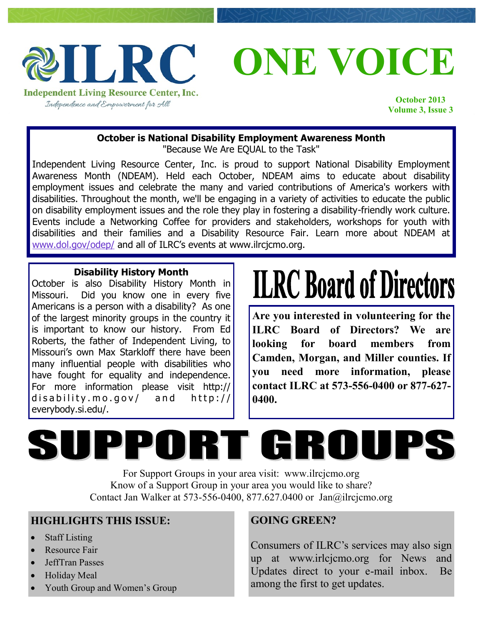

**ONE VOICE**

**October 2013 Volume 3, Issue 3**

### **October is National Disability Employment Awareness Month**

"Because We Are EQUAL to the Task"

Independent Living Resource Center, Inc. is proud to support National Disability Employment Awareness Month (NDEAM). Held each October, NDEAM aims to educate about disability employment issues and celebrate the many and varied contributions of America's workers with disabilities. Throughout the month, we'll be engaging in a variety of activities to educate the public on disability employment issues and the role they play in fostering a disability-friendly work culture. Events include a Networking Coffee for providers and stakeholders, workshops for youth with disabilities and their families and a Disability Resource Fair. Learn more about NDEAM at [www.dol.gov/odep/](http://www.dol.gov/odep/) and all of ILRC's events at www.ilrcjcmo.org.

#### **Disability History Month**

October is also Disability History Month in Missouri. Did you know one in every five Americans is a person with a disability? As one of the largest minority groups in the country it is important to know our history. From Ed Roberts, the father of Independent Living, to Missouri's own Max Starkloff there have been many influential people with disabilities who have fought for equality and independence. For more information please visit http:// disability.mo.gov/ and  $http://$ everybody.si.edu/.

# **ILRC Board of Directors**

**Are you interested in volunteering for the ILRC Board of Directors? We are looking for board members from Camden, Morgan, and Miller counties. If you need more information, please contact ILRC at 573-556-0400 or 877-627- 0400.**

# SUPPORT GROUP

For Support Groups in your area visit: www.ilrcjcmo.org Know of a Support Group in your area you would like to share? Contact Jan Walker at 573-556-0400, 877.627.0400 or Jan@ilrcjcmo.org

### **HIGHLIGHTS THIS ISSUE:**

- Staff Listing
- Resource Fair
- JeffTran Passes
- Holiday Meal
- Youth Group and Women's Group

### **GOING GREEN?**

Consumers of ILRC's services may also sign up at www.irlcjcmo.org for News and Updates direct to your e-mail inbox. Be among the first to get updates.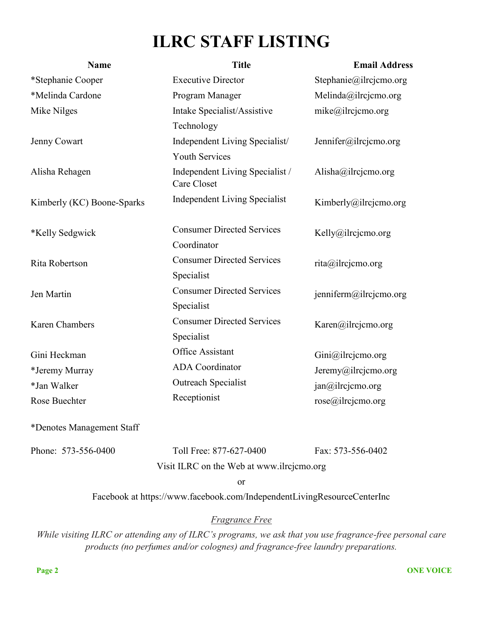## **ILRC STAFF LISTING**

| <b>Name</b>                | <b>Title</b>                                   | <b>Email Address</b>   |  |  |  |
|----------------------------|------------------------------------------------|------------------------|--|--|--|
| *Stephanie Cooper          | <b>Executive Director</b>                      | Stephanie@ilrcjcmo.org |  |  |  |
| *Melinda Cardone           | Program Manager                                | Melinda@ilrcjemo.org   |  |  |  |
| Mike Nilges                | Intake Specialist/Assistive                    | mike@ilrcjcmo.org      |  |  |  |
|                            | Technology                                     |                        |  |  |  |
| Jenny Cowart               | Independent Living Specialist/                 | Jennifer@ilrcjcmo.org  |  |  |  |
|                            | <b>Youth Services</b>                          |                        |  |  |  |
| Alisha Rehagen             | Independent Living Specialist /<br>Care Closet | Alisha@ilrcjcmo.org    |  |  |  |
| Kimberly (KC) Boone-Sparks | <b>Independent Living Specialist</b>           | Kimberly@ilrcjcmo.org  |  |  |  |
| *Kelly Sedgwick            | <b>Consumer Directed Services</b>              | Kelly@ilrcjcmo.org     |  |  |  |
|                            | Coordinator                                    |                        |  |  |  |
| Rita Robertson             | <b>Consumer Directed Services</b>              | rita@ilrcjcmo.org      |  |  |  |
|                            | Specialist                                     |                        |  |  |  |
| Jen Martin                 | <b>Consumer Directed Services</b>              | jenniferm@ilrcjcmo.org |  |  |  |
|                            | Specialist                                     |                        |  |  |  |
| <b>Karen Chambers</b>      | <b>Consumer Directed Services</b>              | Karen@ilrcjcmo.org     |  |  |  |
|                            | Specialist                                     |                        |  |  |  |
| Gini Heckman               | Office Assistant                               | Gini@ilrejemo.org      |  |  |  |
| *Jeremy Murray             | <b>ADA</b> Coordinator                         | Jeremy@ilrcjcmo.org    |  |  |  |
| *Jan Walker                | <b>Outreach Specialist</b>                     | jan@ilrcjcmo.org       |  |  |  |
| Rose Buechter              | Receptionist                                   | rose@ilrcjemo.org      |  |  |  |
| *Denotes Management Staff  |                                                |                        |  |  |  |
| Phone: 573-556-0400        | Toll Free: 877-627-0400                        | Fax: 573-556-0402      |  |  |  |
|                            | Visit ILRC on the Web at www.ilrcjcmo.org      |                        |  |  |  |
|                            | ∩r                                             |                        |  |  |  |

or

Facebook at https://www.facebook.com/IndependentLivingResourceCenterInc

#### *Fragrance Free*

*While visiting ILRC or attending any of ILRC's programs, we ask that you use fragrance-free personal care products (no perfumes and/or colognes) and fragrance-free laundry preparations.*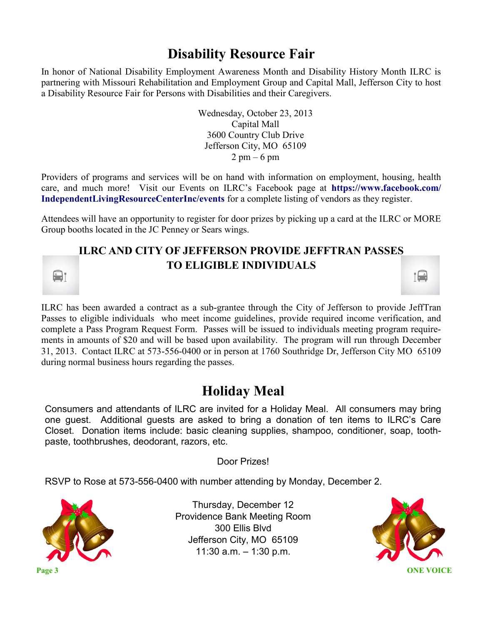## **Disability Resource Fair**

In honor of National Disability Employment Awareness Month and Disability History Month ILRC is partnering with Missouri Rehabilitation and Employment Group and Capital Mall, Jefferson City to host a Disability Resource Fair for Persons with Disabilities and their Caregivers.

> Wednesday, October 23, 2013 Capital Mall 3600 Country Club Drive Jefferson City, MO 65109  $2 \text{ pm} - 6 \text{ pm}$

Providers of programs and services will be on hand with information on employment, housing, health care, and much more! Visit our Events on ILRC's Facebook page at **https://www.facebook.com/ IndependentLivingResourceCenterInc/events** for a complete listing of vendors as they register.

Attendees will have an opportunity to register for door prizes by picking up a card at the ILRC or MORE Group booths located in the JC Penney or Sears wings.

## **ILRC AND CITY OF JEFFERSON PROVIDE JEFFTRAN PASSES TO ELIGIBLE INDIVIDUALS**

ILRC has been awarded a contract as a sub-grantee through the City of Jefferson to provide JeffTran Passes to eligible individuals who meet income guidelines, provide required income verification, and complete a Pass Program Request Form. Passes will be issued to individuals meeting program requirements in amounts of \$20 and will be based upon availability. The program will run through December 31, 2013. Contact ILRC at 573-556-0400 or in person at 1760 Southridge Dr, Jefferson City MO 65109 during normal business hours regarding the passes.

## **Holiday Meal**

Consumers and attendants of ILRC are invited for a Holiday Meal. All consumers may bring one guest. Additional guests are asked to bring a donation of ten items to ILRC's Care Closet. Donation items include: basic cleaning supplies, shampoo, conditioner, soap, toothpaste, toothbrushes, deodorant, razors, etc.

Door Prizes!

RSVP to Rose at 573-556-0400 with number attending by Monday, December 2.



 $\frac{1}{2}$ 

Thursday, December 12 Providence Bank Meeting Room 300 Ellis Blvd Jefferson City, MO 65109 11:30 a.m. – 1:30 p.m.



 $\frac{1}{2}$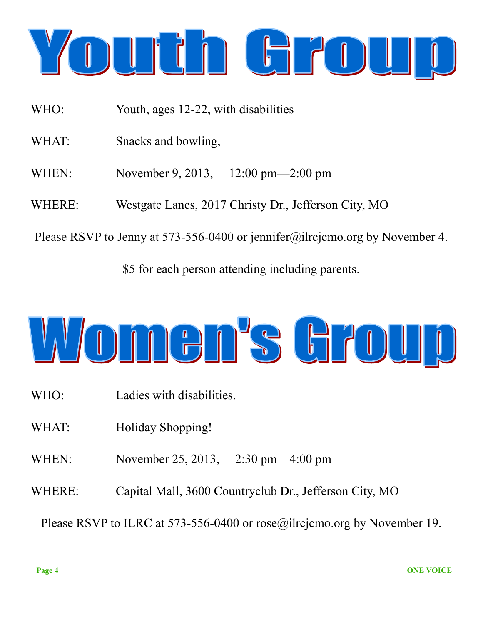

- WHO: Youth, ages 12-22, with disabilities
- WHAT: Snacks and bowling,
- WHEN: November 9, 2013, 12:00 pm—2:00 pm
- WHERE: Westgate Lanes, 2017 Christy Dr., Jefferson City, MO

Please RSVP to Jenny at 573-556-0400 or jennifer@ilrcjcmo.org by November 4.

\$5 for each person attending including parents.



- WHO: Ladies with disabilities.
- WHAT: Holiday Shopping!
- WHEN: November 25, 2013, 2:30 pm—4:00 pm
- WHERE: Capital Mall, 3600 Countryclub Dr., Jefferson City, MO

Please RSVP to ILRC at 573-556-0400 or rose@ilrcjcmo.org by November 19.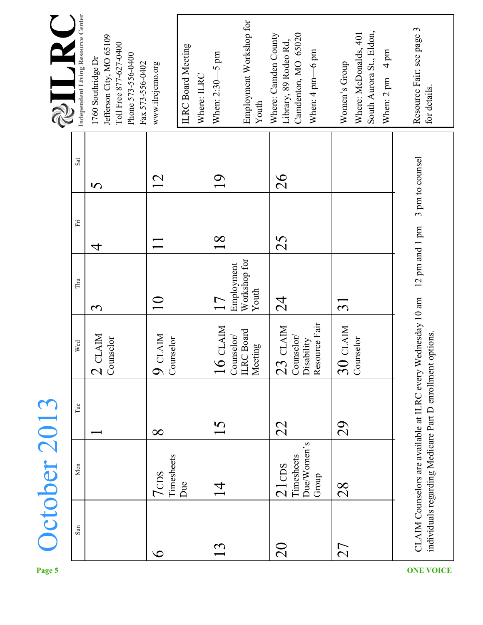| $\overline{\mathbf{Y}}$<br>2 | Independent Living Resource Center | Jefferson City, MO 65109<br>Toll Free 877-627-0400<br>Phone 573-556-0400<br>1760 Southridge Dr<br>Fax 573-556-0402 | www.ilrcjcmo.org                           | <b>ILRC</b> Board Meeting<br>Where: ILRC | When: 2:30-5 pm               | Employment Workshop for<br>Youth           | Where: Camden County<br>Library, 89 Rodeo Rd, | Camdenton, MO 65020<br>When: 4 pm-6 pm    | South Aurora St., Eldon,<br>Where: McDonalds, 401<br>When: $2$ pm $-4$ pm<br>Women's Group | Resource Fair: see page 3<br>for details.                                                   |
|------------------------------|------------------------------------|--------------------------------------------------------------------------------------------------------------------|--------------------------------------------|------------------------------------------|-------------------------------|--------------------------------------------|-----------------------------------------------|-------------------------------------------|--------------------------------------------------------------------------------------------|---------------------------------------------------------------------------------------------|
|                              | Sat                                | 5                                                                                                                  | $\overline{2}$                             |                                          | $\overline{0}$                |                                            | 26                                            |                                           |                                                                                            |                                                                                             |
|                              | Ë                                  | 4                                                                                                                  |                                            |                                          | $\frac{8}{18}$                |                                            | 25                                            |                                           |                                                                                            |                                                                                             |
|                              | Thu                                | $\mathbf{\widetilde{c}}$                                                                                           | $\Omega$                                   |                                          | 17                            | Workshop for<br>Employment<br>Youth        | $\frac{4}{2}$                                 |                                           | $\overline{\mathcal{C}}$                                                                   |                                                                                             |
|                              | Wed                                | CLAIM<br>Counselor<br>$\overline{\mathcal{C}}$                                                                     | <b>CLAIM</b><br>Counselor<br>$\mathcal{Q}$ |                                          | <b>CLAIM</b><br>$\frac{1}{6}$ | <b>ILRC</b> Board<br>Counselor/<br>Meeting | <b>CLAIM</b><br>23                            | Resource Fair<br>Counselor/<br>Disability | <b>CLAIM</b><br>Counselor<br>$\overline{\mathcal{S}}$                                      | CLAIM Counselors are available at ILRC every Wednesday 10 am-12 pm and 1 pm-3 pm to counsel |
|                              | $\mathop{\mathrm{Tue}}$            |                                                                                                                    | $\infty$                                   |                                          | 15                            |                                            | 22                                            |                                           | 29                                                                                         |                                                                                             |
| <b>Detober 2013</b>          | Mon                                |                                                                                                                    | Timesheets<br>7 <sub>CDS</sub>             | Due                                      | $\overline{4}$                |                                            | $21 \text{cos}$                               | Due/Women's<br>Timesheets<br>Group        | 28                                                                                         | individuals regarding Medicare Part D enrollment options.                                   |
|                              | Sum                                |                                                                                                                    | $\infty$                                   |                                          | 13                            |                                            | $\Omega$                                      |                                           | 27                                                                                         |                                                                                             |
| Page 5                       |                                    |                                                                                                                    |                                            |                                          |                               |                                            |                                               |                                           |                                                                                            | <b>ONE VOICE</b>                                                                            |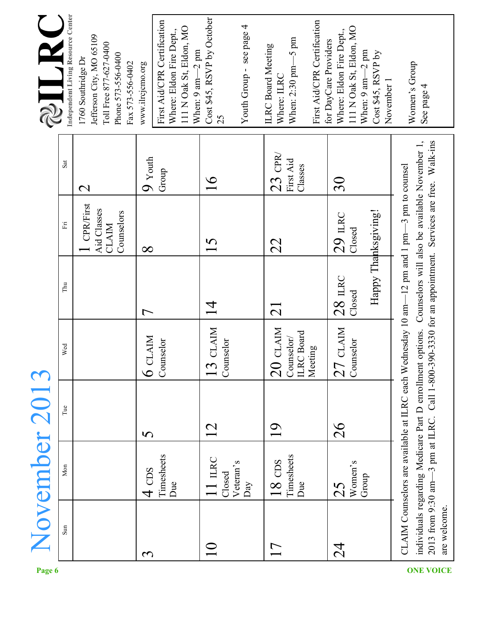| 2             | Independent Living Resource Center | Jefferson City, MO 65109<br>Toll Free 877-627-0400<br>Phone 573-556-0400<br>1760 Southridge Dr<br>Fax 573-556-0402 | www.ilrcjcmo.org          | First Aid/CPR Certification<br>111 N Oak St, Eldon, MO<br>Where: Eldon Fire Dept.,<br>When: 9 am-2 pm | Cost \$45, RSVP by October<br>25           | Youth Group - see page 4 | When: $2:30$ pm $-5$ pm<br><b>ILRC</b> Board Meeting<br>Where: ILRC | First Aid/CPR Certification  | 111 N Oak St, Eldon, MO<br>Where: Eldon Fire Dept.,<br>for DayCare Providers | When: $9 \text{ am} - 2 \text{ pm}$<br>Cost \$45, RSVP by<br>November 1 | Women's Group<br>See page 4                                                                                                                                                                                                                                                                 |  |
|---------------|------------------------------------|--------------------------------------------------------------------------------------------------------------------|---------------------------|-------------------------------------------------------------------------------------------------------|--------------------------------------------|--------------------------|---------------------------------------------------------------------|------------------------------|------------------------------------------------------------------------------|-------------------------------------------------------------------------|---------------------------------------------------------------------------------------------------------------------------------------------------------------------------------------------------------------------------------------------------------------------------------------------|--|
|               | Sat                                | $\mathbf{\Omega}$                                                                                                  | $\overline{9}$ Youth      | Group                                                                                                 | $\frac{6}{1}$                              |                          | $23$ CPR<br>First Aid                                               | Classes                      | $30\,$                                                                       |                                                                         |                                                                                                                                                                                                                                                                                             |  |
|               | $\mathbb{H}$                       | <b>CPR/First</b><br>Aid Classes<br>Counselors<br><b>CLAIM</b>                                                      | $\infty$                  |                                                                                                       | 5                                          |                          | 22                                                                  |                              | 29 п.ю<br>Closed                                                             |                                                                         |                                                                                                                                                                                                                                                                                             |  |
|               | Thu                                |                                                                                                                    | $\overline{\phantom{0}}$  |                                                                                                       | $\frac{4}{1}$                              |                          | $\Xi$                                                               |                              | $28$ m <sub>RC</sub><br>Closed                                               | Happy Thanksgiving!                                                     | -3 pm at ILRC. Call 1-800-390-3330 for an appointment. Services are free. Walk-ins<br>individuals regarding Medicare Part D enrollment options. Counselors will also be available November 1,<br>CLAIM Counselors are available at ILRC each Wednesday 10 am-12 pm and 1 pm-3 pm to counsel |  |
|               | Wed                                |                                                                                                                    | $6$ CLAIM                 | Counselor                                                                                             | <b>CLAIM</b><br>Counselor<br>$\frac{1}{3}$ |                          | <b>CLAIM</b><br>Counselor/<br>$\overline{20}$                       | <b>ILRC</b> Board<br>Meeting | <b>CLAIM</b><br>Counselor<br>27                                              |                                                                         |                                                                                                                                                                                                                                                                                             |  |
| November 2013 | Tue                                |                                                                                                                    | $\boldsymbol{\mathsf{S}}$ |                                                                                                       | 12                                         |                          | $\overline{0}$                                                      |                              | 26                                                                           |                                                                         |                                                                                                                                                                                                                                                                                             |  |
|               | Mon                                |                                                                                                                    | $4 \text{} \text{}$       | Timesheets<br>Due                                                                                     | $11$ mec<br>Closed                         | Veteran's<br>Day         | Timesheets<br>$18 \text{ }\mathrm{CDS}$                             | Due                          | Women's<br>25                                                                | Group                                                                   |                                                                                                                                                                                                                                                                                             |  |
|               | Sun                                |                                                                                                                    | $\mathbf{\tilde{c}}$      |                                                                                                       | $\Omega$                                   |                          | $\overline{1}$                                                      |                              | 24                                                                           |                                                                         | 2013 from 9:30 am-<br>are welcome.                                                                                                                                                                                                                                                          |  |
| Page 6        |                                    |                                                                                                                    |                           |                                                                                                       |                                            |                          |                                                                     |                              |                                                                              |                                                                         | <b>ONE VOICE</b>                                                                                                                                                                                                                                                                            |  |

**Page**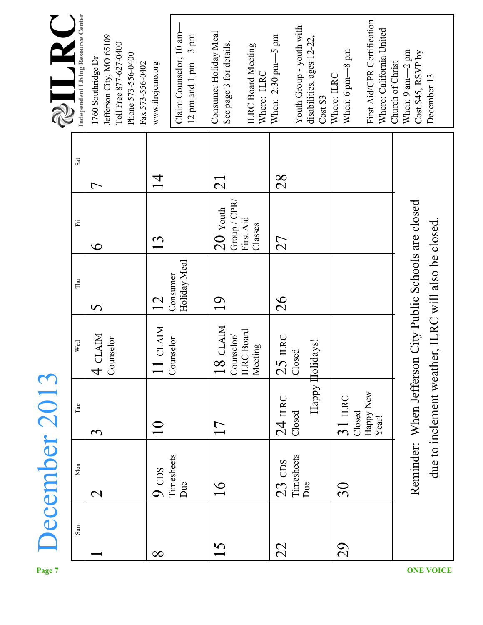| Y<br>2        | Independent Living Resource Center | Jefferson City, MO 65109<br>Toll Free 877-627-0400<br>Phone 573-556-0400<br>1760 Southridge Dr<br>Fax 573-556-0402 | www.ilrcjcmo.org        | Claim Counselor, 10 am<br>12 pm and 1 pm $-3$ pm | Consumer Holiday Meal<br>See page 3 for details.   | <b>ILRC</b> Board Meeting<br>Where: ILRC | When: $2:30 \text{ pm} - 5 \text{ pm}$ | Youth Group - youth with<br>disabilities, ages 12-22, | Cost \$3 | When: 6 pm-8 pm<br>Where: ILRC | First Aid/CPR Certification<br>Where: California United | When: $9 \text{ am} - 2 \text{ pm}$<br>Cost \$45, RSVP by<br>Church of Christ<br>December 13                   |
|---------------|------------------------------------|--------------------------------------------------------------------------------------------------------------------|-------------------------|--------------------------------------------------|----------------------------------------------------|------------------------------------------|----------------------------------------|-------------------------------------------------------|----------|--------------------------------|---------------------------------------------------------|----------------------------------------------------------------------------------------------------------------|
|               | Sat                                | $\mathrel{\sqsubset}$                                                                                              | $\overline{4}$          |                                                  | $\overline{2}$                                     |                                          | 28                                     |                                                       |          |                                |                                                         |                                                                                                                |
|               | Ë                                  | $\bullet$                                                                                                          | 13                      |                                                  | Group / CPR/<br>$20$ Youth                         | First Aid<br>Classes                     | 27                                     |                                                       |          |                                |                                                         |                                                                                                                |
|               | Thu                                | $\mathbf{\Omega}$                                                                                                  | 12                      | Holiday Meal<br>Consumer                         | $\overline{0}$                                     |                                          | 26                                     |                                                       |          |                                |                                                         |                                                                                                                |
|               | Wed                                | 4 CLAIM<br>Counselor                                                                                               | <b>CLAIM</b><br>$\prod$ | Counselor                                        | CLAIM<br>Counselor/<br>ILRC Board<br>$\frac{8}{1}$ | Meeting                                  | <b>ILRC</b><br>25                      | Closed                                                |          |                                |                                                         | Reminder: When Jefferson City Public Schools are closed<br>due to inclement weather, ILRC will also be closed. |
|               | $\operatorname{Tue}$               | $\mathbf{\tilde{S}}$                                                                                               |                         |                                                  | 17                                                 |                                          | $24$ LRC                               | Happy Holidays!<br>Closed                             |          | LERC<br>$\overline{31}$        | Happy New<br>Year!<br>Closed                            |                                                                                                                |
| December 2013 | Mon                                | $\mathbf{\Omega}$                                                                                                  | $9 \text{}$             | Timesheets<br>Due                                | $\frac{8}{1}$                                      |                                          | $23$ CDS                               | Timesheets<br>Due                                     |          | $30\,$                         |                                                         |                                                                                                                |
| Page 7        | $\mathop{\rm Sum}\nolimits$        |                                                                                                                    | $\infty$                |                                                  | 15                                                 |                                          | 22                                     |                                                       |          | 29                             |                                                         | <b>ONE VOICE</b>                                                                                               |

**Page**